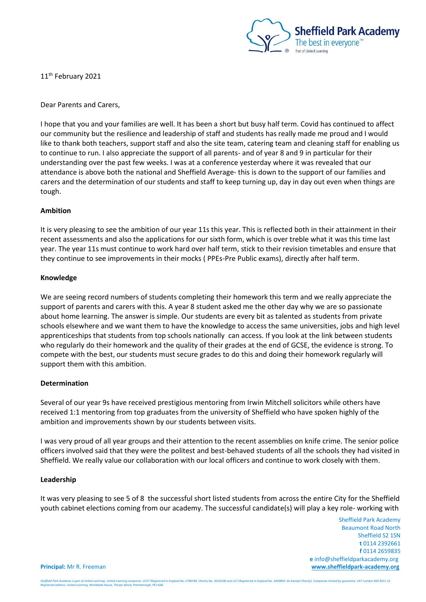

11<sup>th</sup> February 2021

Dear Parents and Carers,

I hope that you and your families are well. It has been a short but busy half term. Covid has continued to affect our community but the resilience and leadership of staff and students has really made me proud and I would like to thank both teachers, support staff and also the site team, catering team and cleaning staff for enabling us to continue to run. I also appreciate the support of all parents- and of year 8 and 9 in particular for their understanding over the past few weeks. I was at a conference yesterday where it was revealed that our attendance is above both the national and Sheffield Average- this is down to the support of our families and carers and the determination of our students and staff to keep turning up, day in day out even when things are tough.

## **Ambition**

It is very pleasing to see the ambition of our year 11s this year. This is reflected both in their attainment in their recent assessments and also the applications for our sixth form, which is over treble what it was this time last year. The year 11s must continue to work hard over half term, stick to their revision timetables and ensure that they continue to see improvements in their mocks ( PPEs-Pre Public exams), directly after half term.

## **Knowledge**

We are seeing record numbers of students completing their homework this term and we really appreciate the support of parents and carers with this. A year 8 student asked me the other day why we are so passionate about home learning. The answer is simple. Our students are every bit as talented as students from private schools elsewhere and we want them to have the knowledge to access the same universities, jobs and high level apprenticeships that students from top schools nationally can access. If you look at the link between students who regularly do their homework and the quality of their grades at the end of GCSE, the evidence is strong. To compete with the best, our students must secure grades to do this and doing their homework regularly will support them with this ambition.

## **Determination**

Several of our year 9s have received prestigious mentoring from Irwin Mitchell solicitors while others have received 1:1 mentoring from top graduates from the university of Sheffield who have spoken highly of the ambition and improvements shown by our students between visits.

I was very proud of all year groups and their attention to the recent assemblies on knife crime. The senior police officers involved said that they were the politest and best-behaved students of all the schools they had visited in Sheffield. We really value our collaboration with our local officers and continue to work closely with them.

## **Leadership**

It was very pleasing to see 5 of 8 the successful short listed students from across the entire City for the Sheffield youth cabinet elections coming from our academy. The successful candidate(s) will play a key role- working with

 Sheffield Park Academy Beaumont Road North Sheffield S2 1SN **t** 0114 2392661 **f** 0114 2659835  **e** info@sheffieldparkacademy.org **Principal:** Mr R. Freeman **[www.sheffieldpark-academy.org](http://www.sheffieldpark-academy.org/)**